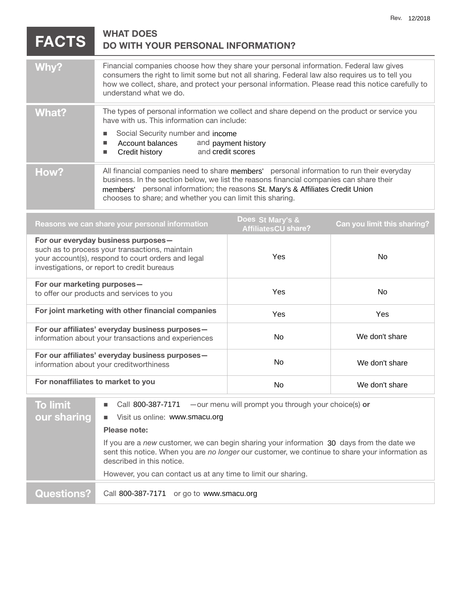| <b>FACTS</b> | <b>WHAT DOES</b>                   |
|--------------|------------------------------------|
|              | DO WITH YOUR PERSONAL INFORMATION? |

| Why?  | Financial companies choose how they share your personal information. Federal law gives<br>consumers the right to limit some but not all sharing. Federal law also requires us to tell you<br>how we collect, share, and protect your personal information. Please read this notice carefully to<br>understand what we do.            |  |
|-------|--------------------------------------------------------------------------------------------------------------------------------------------------------------------------------------------------------------------------------------------------------------------------------------------------------------------------------------|--|
| What? | The types of personal information we collect and share depend on the product or service you<br>have with us. This information can include:<br>Social Security number and income<br>Account balances<br>and payment history<br>and credit scores<br>Credit history<br>П                                                               |  |
| How?  | All financial companies need to share members' personal information to run their everyday<br>business. In the section below, we list the reasons financial companies can share their<br>members' personal information; the reasons St. Mary's & Affiliates Credit Union<br>chooses to share; and whether you can limit this sharing. |  |

| Reasons we can share your personal information                                                                                                                                             | Does St Mary's &<br><b>AffiliatesCU share?</b> | <b>Can you limit this sharing?</b> |
|--------------------------------------------------------------------------------------------------------------------------------------------------------------------------------------------|------------------------------------------------|------------------------------------|
| For our everyday business purposes-<br>such as to process your transactions, maintain<br>your account(s), respond to court orders and legal<br>investigations, or report to credit bureaus | Yes.                                           | No.                                |
| For our marketing purposes-<br>to offer our products and services to you                                                                                                                   | <b>Yes</b>                                     | No.                                |
| For joint marketing with other financial companies                                                                                                                                         | <b>Yes</b>                                     | <b>Yes</b>                         |
| For our affiliates' everyday business purposes-<br>information about your transactions and experiences                                                                                     | No.                                            | We don't share                     |
| For our affiliates' everyday business purposes-<br>information about your creditworthiness                                                                                                 | No.                                            | We don't share                     |
| For nonaffiliates to market to you                                                                                                                                                         | No.                                            | We don't share                     |

| <b>To limit</b>   | Call 800-387-7171 $-$ our menu will prompt you through your choice(s) or                                                                                                                                                  |
|-------------------|---------------------------------------------------------------------------------------------------------------------------------------------------------------------------------------------------------------------------|
| our sharing       | Visit us online: www.smacu.org<br>m.                                                                                                                                                                                      |
|                   | Please note:                                                                                                                                                                                                              |
|                   | If you are a new customer, we can begin sharing your information 30 days from the date we<br>sent this notice. When you are no longer our customer, we continue to share your information as<br>described in this notice. |
|                   | However, you can contact us at any time to limit our sharing.                                                                                                                                                             |
| <b>Questions?</b> | Call 800-387-7171 or go to www.smacu.org                                                                                                                                                                                  |